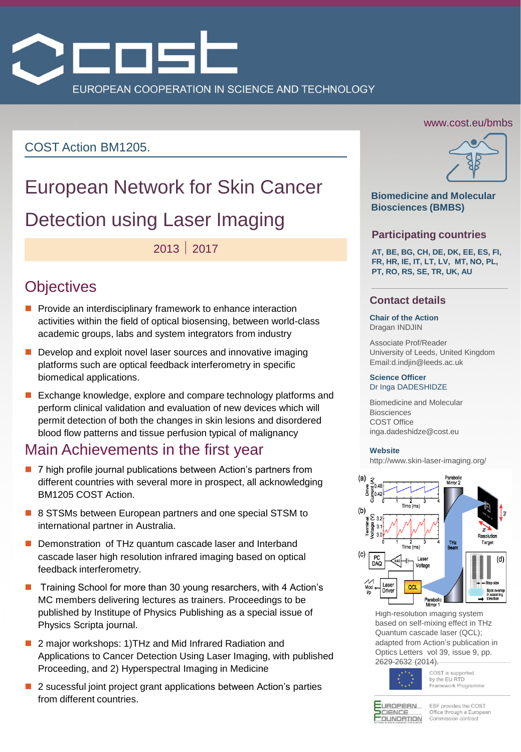

### COST Action BM1205.

# European Network for Skin Cancer Detection using Laser Imaging

# 2013 2017

# **Objectives**

- $\blacksquare$  Provide an interdisciplinary framework to enhance interaction activities within the field of optical biosensing, between world-class academic groups, labs and system integrators from industry
- Develop and exploit novel laser sources and innovative imaging platforms such are optical feedback interferometry in specific biomedical applications.
- Exchange knowledge, explore and compare technology platforms and perform clinical validation and evaluation of new devices which will permit detection of both the changes in skin lesions and disordered blood flow patterns and tissue perfusion typical of malignancy

# Main Achievements in the first year

- 7 high profile journal publications between Action's partners from different countries with several more in prospect, all acknowledging BM1205 COST Action.
- 8 STSMs between European partners and one special STSM to international partner in Australia.
- Demonstration of THz quantum cascade laser and Interband cascade laser high resolution infrared imaging based on optical feedback interferometry.
- Training School for more than 30 young resarchers, with 4 Action's MC members delivering lectures as trainers. Proceedings to be published by Institupe of Physics Publishing as a special issue of Physics Scripta journal.
- 2 major workshops: 1)THz and Mid Infrared Radiation and Applications to Cancer Detection Using Laser Imaging, with published Proceeding, and 2) Hyperspectral Imaging in Medicine
- 2 sucessful joint project grant applications between Action's parties from different countries.

### www.cost.eu/bmbs



### **Biomedicine and Molecular Biosciences (BMBS)**

### **Participating countries**

**AT, BE, BG, CH, DE, DK, EE, ES, FI, FR, HR, IE, IT, LT, LV, MT, NO, PL, PT, RO, RS, SE, TR, UK, AU**

### **Contact details**

#### **Chair of the Action**  Dragan INDJIN

Associate Prof/Reader University of Leeds, United Kingdom Email:d.indjin@leeds.ac.uk

#### **Science Officer** Dr Inga DADESHIDZE

Biomedicine and Molecular Biosciences COST Office inga.dadeshidze@cost.eu

#### **Website**

http://www.skin-laser-imaging.org/



High-resolution imaging system based on self-mixing effect in THz Quantum cascade laser (QCL); adapted from Action's publication in Optics Letters vol 39, issue 9, pp. 2629-2632 (2014).



COST is supported by the EU RTD Framework Programme



ESF provides the COST Office through a European Commission contract